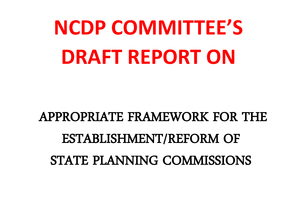# **NCDP COMMITTEE'S DRAFT REPORT ON**

## APPROPRIATE FRAMEWORK FOR THE ESTABLISHMENT/REFORM OF STATE PLANNING COMMISSIONS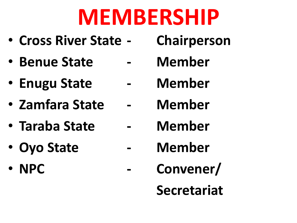# **MEMBERSHIP**

- **Cross River State - Chairperson**
- **Benue State - Member**
- **Enugu State - Member**
- **Zamfara State - Member**
- **Taraba State - Member**
- **Oyo State - Member**
- 
- 
- -
- 
- 
- 
- **NPC Convener/**

**Secretariat**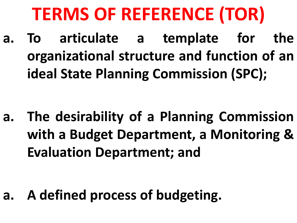## **TERMS OF REFERENCE (TOR)**

**a. To articulate a template for the organizational structure and function of an ideal State Planning Commission (SPC);**

**a. The desirability of a Planning Commission with a Budget Department, a Monitoring & Evaluation Department; and**

**a. A defined process of budgeting.**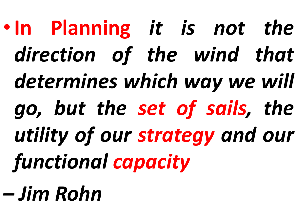•**In Planning** *it is not the direction of the wind that determines which way we will go, but the set of sails, the utility of our strategy and our functional capacity – Jim Rohn*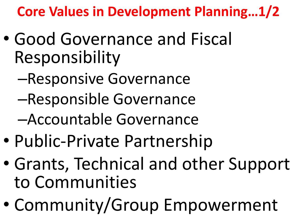**Core Values in Development Planning…1/2** 

- Good Governance and Fiscal Responsibility
	- –Responsive Governance
	- –Responsible Governance
	- –Accountable Governance
- Public-Private Partnership
- Grants, Technical and other Support to Communities
- Community/Group Empowerment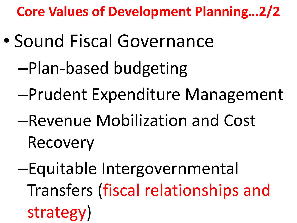**Core Values of Development Planning…2/2**

- Sound Fiscal Governance
	- –Plan-based budgeting
	- –Prudent Expenditure Management
	- –Revenue Mobilization and Cost Recovery
	- –Equitable Intergovernmental Transfers (fiscal relationships and strategy)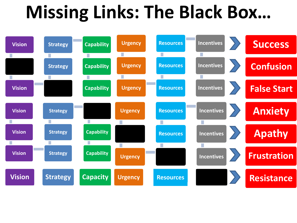## **Missing Links: The Black Box…**

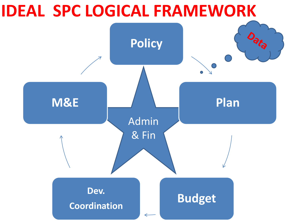### **IDEAL SPC LOGICAL FRAMEWORK**

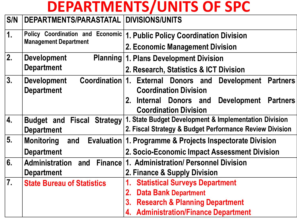### **DEPARTMENTS/UNITS OF SPC**

|  | S/N   DEPARTMENTS/PARASTATAL   DIVISIONS/UNITS |  |
|--|------------------------------------------------|--|
|--|------------------------------------------------|--|

| $\overline{1}$ . | Policy Coordination and Economic<br><b>Management Department</b> | 1. Public Policy Coordination Division                                                              |  |
|------------------|------------------------------------------------------------------|-----------------------------------------------------------------------------------------------------|--|
|                  |                                                                  | 2. Economic Management Division                                                                     |  |
| 2.               | <b>Development</b>                                               | <b>Planning 1. Plans Development Division</b>                                                       |  |
|                  | <b>Department</b>                                                | 2. Research, Statistics & ICT Division                                                              |  |
| 3.               | Coordination 1.<br><b>Development</b><br><b>Department</b>       | <b>External Donors and</b><br><b>Development</b><br><b>Partners</b><br><b>Coordination Division</b> |  |
|                  |                                                                  | 2.<br>Internal Donors and<br><b>Development</b><br><b>Partners</b><br><b>Coordination Division</b>  |  |
| 4.               | <b>Budget and Fiscal Strategy</b>                                | 1. State Budget Development & Implementation Division                                               |  |
|                  | <b>Department</b>                                                | 2. Fiscal Strategy & Budget Performance Review Division                                             |  |
| 5.               | <b>Monitoring</b><br>and                                         | Evaluation 1. Programme & Projects Inspectorate Division                                            |  |
|                  | <b>Department</b>                                                | 2. Socio-Economic Impact Assessment Division                                                        |  |
| 6.               | <b>Administration</b><br>and                                     | Finance 1. Administration/ Personnel Division                                                       |  |
|                  | <b>Department</b>                                                | 2. Finance & Supply Division                                                                        |  |
| 7.               | <b>State Bureau of Statistics</b>                                | <b>Statistical Surveys Department</b>                                                               |  |
|                  |                                                                  | <b>Data Bank Department</b><br>2.                                                                   |  |
|                  |                                                                  | <b>Research &amp; Planning Department</b><br>3.                                                     |  |
|                  |                                                                  | 4. Administration/Finance Department                                                                |  |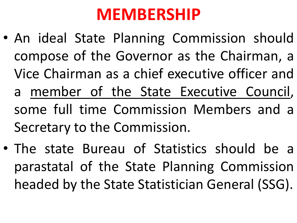### **MEMBERSHIP**

- An ideal State Planning Commission should compose of the Governor as the Chairman, a Vice Chairman as a chief executive officer and a member of the State Executive Council, some full time Commission Members and a Secretary to the Commission.
- The state Bureau of Statistics should be a parastatal of the State Planning Commission headed by the State Statistician General (SSG).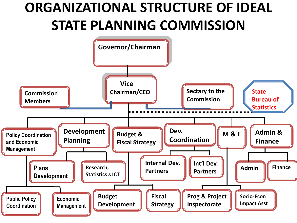### **ORGANIZATIONAL STRUCTURE OF IDEAL STATE PLANNING COMMISSION**

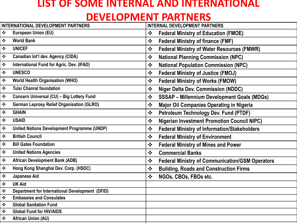#### **LIST OF SOME INTERNAL AND INTERNATIONAL**

#### **DEVELOPMENT PARTNERS**

| <b>INTERNATIONAL DEVELOPMENT PARTNERS</b> |                                                        | <b>INTERNAL DEVELOPMENT PARTNERS</b>  |                                                        |  |
|-------------------------------------------|--------------------------------------------------------|---------------------------------------|--------------------------------------------------------|--|
| $\mathbf{r}^{\star}_{\bullet}$            | European Union (EU)                                    | $\cdot$                               | <b>Federal Ministry of Education (FMOE)</b>            |  |
| $\bullet^{\bullet}_{\bullet} \bullet$     | <b>World Bank</b>                                      | $\frac{1}{2}$                         | <b>Federal Ministry of finance (FMF)</b>               |  |
| $\bullet^{\bullet}_{\bullet} \bullet$     | <b>UNICEF</b>                                          | $\frac{1}{2}$                         | <b>Federal Ministry of Water Resources (FMWR)</b>      |  |
| $\bullet$                                 | Canadian Int'l dev. Agency (CIDA)                      | $\bullet^{\bullet}_{\bullet} \bullet$ | <b>National Planning Commission (NPC)</b>              |  |
| $\bullet^{\bullet}_{\Phi}$                | International Fund for Agric. Dev. (IFAD)              | $\cdot$                               | <b>National Population Commission (NPC)</b>            |  |
| $\bullet$                                 | <b>UNESCO</b>                                          | $\bullet^{\bullet}_{\bullet} \bullet$ | <b>Federal Ministry of Justice (FMOJ)</b>              |  |
| $\bullet^{\bullet}_{\Phi}$                | <b>World Health Organisation (WHO)</b>                 | $\frac{1}{2}$                         | <b>Federal Ministry of Works (FMOW)</b>                |  |
| $\bullet$                                 | <b>Tulsi Chanral foundation</b>                        | $\frac{1}{2}$                         | <b>Niger Delta Dev. Commission (NDDC)</b>              |  |
| $\bullet$                                 | Concern Universal (CU) - Big Lottery Fund              | $\frac{1}{2}$                         | <b>SSSAP - Millennium Development Goals (MDGs)</b>     |  |
| $\bullet^{\bullet}_{\bullet} \bullet$     | <b>German Leprosy Relief Organisation (GLRO)</b>       | $\frac{1}{2}$                         | <b>Major Oil Companies Operating in Nigeria</b>        |  |
| $\bullet^{\bullet}_{\bullet} \bullet$     | <b>GHAIN</b>                                           | $\frac{1}{2}$                         | <b>Petroleum Technology Dev. Fund (PTDF)</b>           |  |
| $\bullet^{\bullet}_{\bullet} \bullet$     | <b>USAID</b>                                           | $\cdot$                               | <b>Nigerian Investment Promotion Council NIPC)</b>     |  |
| $\bullet^{\bullet}_{\bullet} \bullet$     | <b>United Nations Development Programme (UNDP)</b>     | $\cdot$                               | <b>Federal Ministry of Information/Stakeholders</b>    |  |
| $\bullet \bullet$                         | <b>British Council</b>                                 | $\cdot$                               | <b>Federal Ministry of Environment</b>                 |  |
| $\bullet^{\bullet}_{\bullet} \bullet$     | <b>Bill Gates Foundation</b>                           | $\cdot$                               | <b>Federal Ministry of Mines and Power</b>             |  |
| $\bullet \bullet$                         | <b>United Nations Agencies</b>                         | $\bullet^{\bullet}_{\bullet} \bullet$ | <b>Commercial Banks</b>                                |  |
| $\bullet \bullet$                         | <b>African Development Bank (ADB)</b>                  | $\frac{1}{2}$                         | <b>Federal Ministry of Communication/GSM Operators</b> |  |
| $\bullet \bullet$                         | Hong Kong Shanghai Dev. Corp. (HSDC)                   | $\bullet \bullet$                     | <b>Building, Roads and Construction Firms</b>          |  |
| $\bullet^{\bullet}_{\bullet} \bullet$     | Japanese Aid                                           | $\bullet^{\bullet}_{\bullet} \bullet$ | NGOs, CBOs, FBOs etc.                                  |  |
| $\bullet^{\bullet}_{\bullet} \bullet$     | <b>UK Aid</b>                                          |                                       |                                                        |  |
| $\bullet$                                 | <b>Department for International Development (DFID)</b> |                                       |                                                        |  |
| $\bullet^{\bullet}_{\bullet} \bullet$     | <b>Embassies and Consulates</b>                        |                                       |                                                        |  |
| $\ddot{\bullet}$                          | <b>Global Sanitation Fund</b>                          |                                       |                                                        |  |
| $\bullet \bullet$                         | <b>Global Fund for HIV/AIDS</b>                        |                                       |                                                        |  |
| $\ddot{\cdot}$                            | <b>African Union (AU)</b>                              |                                       |                                                        |  |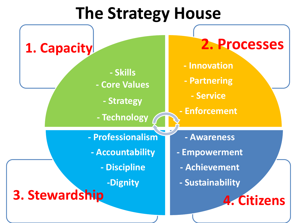### **The Strategy House**

**- Skills - Core Values - Strategy - Technology - Innovation - Partnering - Service - Enforcement - Awareness - Empowerment - Achievement - Sustainability - Professionalism - Accountability - Discipline -Dignity 3. Stewardship 1. Capacity 4. Citizens 2. Processes**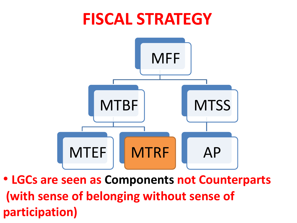# **FISCAL STRATEGY**  MFF **MTBF MTSS**

• **LGCs are seen as Components not Counterparts (with sense of belonging without sense of participation)**

AP

MTEF | | MTRF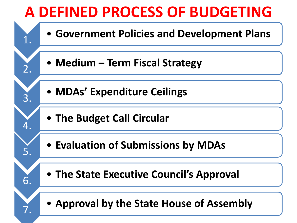### **A DEFINED PROCESS OF BUDGETING**

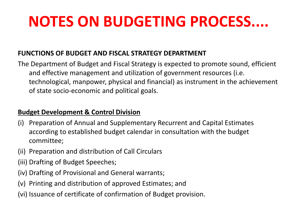### **NOTES ON BUDGETING PROCESS....**

#### **FUNCTIONS OF BUDGET AND FISCAL STRATEGY DEPARTMENT**

The Department of Budget and Fiscal Strategy is expected to promote sound, efficient and effective management and utilization of government resources (i.e. technological, manpower, physical and financial) as instrument in the achievement of state socio-economic and political goals.

#### **Budget Development & Control Division**

- (i) Preparation of Annual and Supplementary Recurrent and Capital Estimates according to established budget calendar in consultation with the budget committee;
- (ii) Preparation and distribution of Call Circulars
- (iii) Drafting of Budget Speeches;
- (iv) Drafting of Provisional and General warrants;
- (v) Printing and distribution of approved Estimates; and
- (vi) Issuance of certificate of confirmation of Budget provision.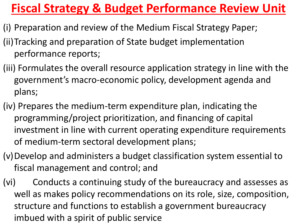### **Fiscal Strategy & Budget Performance Review Unit**

- (i) Preparation and review of the Medium Fiscal Strategy Paper;
- (ii)Tracking and preparation of State budget implementation performance reports;
- (iii) Formulates the overall resource application strategy in line with the government's macro-economic policy, development agenda and plans;
- (iv) Prepares the medium-term expenditure plan, indicating the programming/project prioritization, and financing of capital investment in line with current operating expenditure requirements of medium-term sectoral development plans;
- (v)Develop and administers a budget classification system essential to fiscal management and control; and
- (vi) Conducts a continuing study of the bureaucracy and assesses as well as makes policy recommendations on its role, size, composition, structure and functions to establish a government bureaucracy imbued with a spirit of public service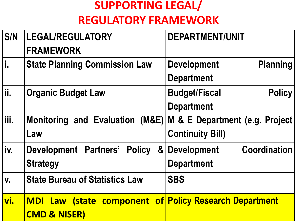#### **SUPPORTING LEGAL/ REGULATORY FRAMEWORK**

| S/N  | <b>LEGAL/REGULATORY</b><br><b>FRAMEWORK</b>                                              | <b>DEPARTMENT/UNIT</b>                                     |
|------|------------------------------------------------------------------------------------------|------------------------------------------------------------|
| i.   | <b>State Planning Commission Law</b>                                                     | <b>Planning</b><br><b>Development</b><br><b>Department</b> |
| ii.  | <b>Organic Budget Law</b>                                                                | <b>Budget/Fiscal</b><br><b>Policy</b><br><b>Department</b> |
| iii. | <b>Monitoring and Evaluation</b><br>(M&E)<br>Law                                         | M & E Department (e.g. Project)<br><b>Continuity Bill)</b> |
| iv.  | Development Partners'<br><b>Policy</b><br><b>Strategy</b>                                | <b>Coordination</b><br>& Development<br><b>Department</b>  |
| V.   | <b>State Bureau of Statistics Law</b>                                                    | <b>SBS</b>                                                 |
| vi.  | <b>MDI Law (state component of Policy Research Department</b><br><b>CMD &amp; NISER)</b> |                                                            |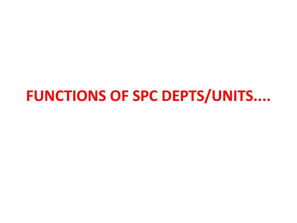### **FUNCTIONS OF SPC DEPTS/UNITS....**